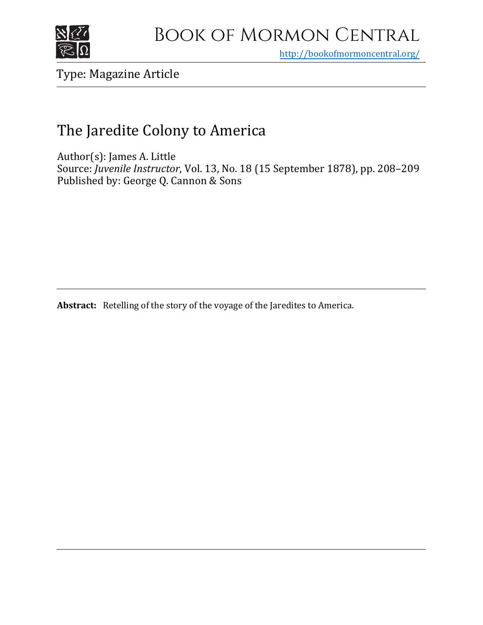

<http://bookofmormoncentral.org/>

Type: Magazine Article

# The Jaredite Colony to America

Author(s): James A. Little Source: *Juvenile Instructor*, Vol. 13, No. 18 (15 September 1878), pp. 208–209 Published by: George Q. Cannon & Sons

**Abstract:** Retelling of the story of the voyage of the Jaredites to America.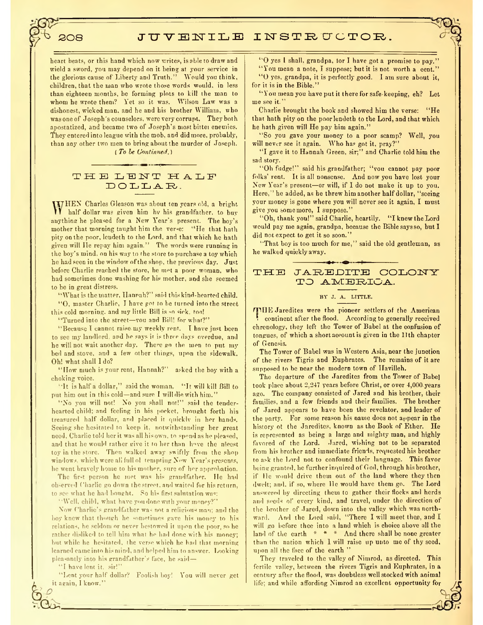## 508 JUVENILE INSTRUCTOR.

heart beats, or this hand which now writes, is able to draw and wield a sword, you may depend on it being at your service in the glorious cause of Liberty and Truth." Would you think, children, that the man who wrote those words would, in less than eighteen months, be forming plots to kill the man to whom he wrote them? Yet so it was. Wilson Law was a dishonest, wicked man, and he and his brother William, who was one of Joseph's counselors, were very corrupt. They both apostatized, and became two of Joseph's most bittei enemies. They entered into league with the mob, and did more, probably, than any other two men to bring about the murder of Joseph. *( To be Continued.)*

# THE LENT HALF DOLLAR.

W HEN Charles Gleason was about ton years old, a bright half dollar was given him hv his grandfather, to buy auything he pleased for a New Year's present. The hoy's mother that morning taught him the ver-e: "He that hath pity on the poor, leudeth to the Lord, and that which he hath given will lie repay him again." The words were running in the boy's mind, on his way to the store to purchase a toy which he had seen in the window ofthe shop, the previous day. Just before Charlie reached the store, he met a poor woman, who had sometimes done washing for his mother, and she seemed to he in great distress.

"What is the matter, Hannah?" said this kind-hearted child. "0, master Charlie, I have got to he turned into the street

this cold morning, and my little Bill is so sick, too!

"Turned into the street-you and Bill! for what?"

"Because I cannot raise my weekly rent. <sup>T</sup> have just been to see my landlord, and he says ir is three days overdue, and he will not wait another day. There go the men to put my bed and stove, and a few other things, upon the sidewalk. Oh! what shall I do?

"How much is your rent, Hannah?" asked the boy with <sup>a</sup> choking voice.

It is half <sup>a</sup> dollar," said the woman "It will kill Bill to put him out in this cold—and sure I will die with him."

"No you will not! No you shall not!" said the tenderhearted child; and feeling in his pocket, brought forth his treasured half dollar and placed it qnicklv in her hands. Seeing she hesitated to keep it. notwithstanding her great need, Charlie told her it was all his own, to spend as he pleased, and that he would rather give it to her than have the nicest toy in the store. Then walked away swiftly from the shop windows, which were all full ol tempting Now Year's presents, he went bravely home to his mother, sure of her approbation.

The fir-t person he met was his grandfather. He had observed Charlie godown the street, and waited for his return, to see what he had bought. So his first salutation was:

Well, child, what have you done with your money?"

Now Charlie's grandfather was not a religious man; and the boy knew that though he sometimes gave his money to his relations, he seldom or never bestowed it upon the poor, so he rather disliked to tell him what he had done with his money; but while he hesitated, the verse which he had that morning learned came into his mind, and helped him to answer. Looking pleasantly into his grandfather's face, he said—

"<sup>I</sup> have lent it, sir!"

"Lent your half dollar? Foolish boy! You will never get it again, I know."

"0 yes <sup>1</sup> shall, grandpa, tor <sup>I</sup> have got <sup>a</sup> promise to pay."

"You mean <sup>a</sup> note, I suppose; but it is not worth <sup>a</sup> eent."

"0 yes, grandpa, it is perfect!}' good. <sup>I</sup> am sure about it, for it is in the Bible."

"You mean you haveputit there for safe keeping, eh? Let me see it. "

Charlie brought the book and showed him the verse: "He that hath pity on the poorlendeth to the Lord, and that which he hath given will He pay him again."

"So you gave your money to a poor scamp? Well, you will never see it again. Who has got it, pray?"

"I gave it to Hannah Green, sir;" and Charlie told him the sad story.

"Oh fudge!" said his grandfather; "vou cannot pay poor folks'rent. It is all nonsense. And now you have lost your New Year's present—or will, if I do not make it up to you. Here," he added, as he threw him another half dollar, "seeing your money is gone where you will never see it again, I must give you some more, I suppose."

"Oh, thank you!" said Charlie, heartily. "I knew the Lord would pay me again, grandpa, because the Bible saysso, but I did not expect to get it so soon."

"That boy is too much for me," said the old gentleman, as he walked quickly away.

#### THE JAREDITE COLONY TO AMERIOA.

### BY J. A. LITTLE.

fTHE Jaredites were the pioneer settlers of the Ameriean continent after the flood. According to generally received chronology, they left the Tower of Babel at the eonfusion of tongues, of which a short account is given in the 11th chapter of Genesis.

The Tower of Babel was in Western Asia, near the junction of the rivers Tigris and Euphrates. The remains of it are supposed to be near the modern town of Ilavilleh.

The departure of the Jaredites from the Tower of Babe] took plaee about 2,247 years before Christ, or over 4,000.years ago. The company consisted of Jared and his brother, their families, and a few friends and their families. The brother of Jared appears to have been the revelator, and leader of the party. For some reason his name does not appear in the history ot the Jaredites, known as the Book of Ether. He is represented as being a large and mighty man, and highly favored of the Lord. Jared, wishing not to be separated from his brother and immediate friends, requested his brother to ask the Lord not to confound their language. This favor being granted, he further inquired of God, through his brother, if lie would drive them out of the land where they then dwelt; and. if so, where lie would have them go. The Lord answered by directing them to gather their flocks and herds and seeds of every kind, and travel, under the direction of the brother of Jared, down into the valley which was northward. And the Lord said, "There I will meet thee, and I will go before thee into a land which is choice above all the land of the earth  $* * *$  And there shall be none greater than the nation which 1 will raise up unto me of thy seed, upon all the face of the earth "

They traveled to the valley of Nimrod, as directed. This fertile valley, between the rivers Tigris and Euphrates, in a century after the flood, was doubtless well stocked with animal life; and while affording Nimrod an excellent opportunity for